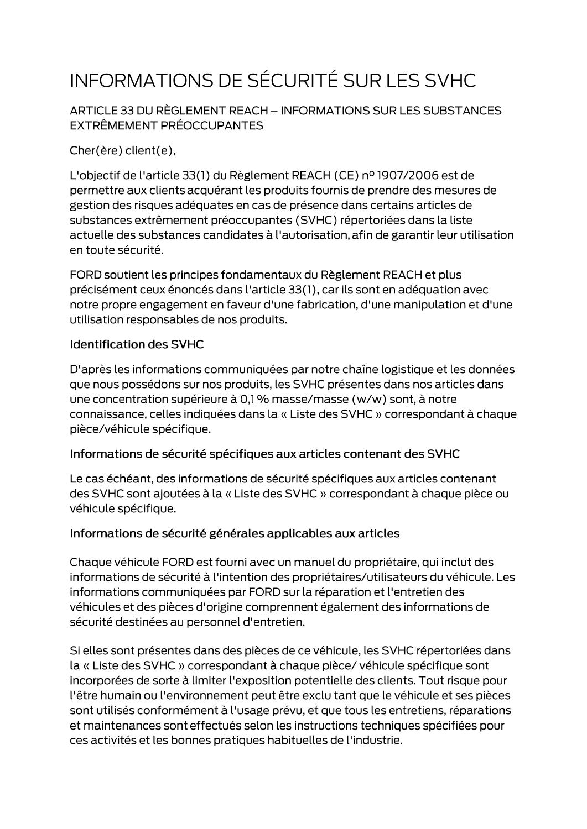# INFORMATIONS DE SÉCURITÉ SUR LES SVHC

ARTICLE 33 DU RÈGLEMENT REACH - INFORMATIONS SUR LES SUBSTANCES EXTRÊMEMENT PRÉOCCUPANTES

Cher(ère) client(e),

L'objectif de l'article 33(1) du Règlement REACH (CE) nº 1907/2006 est de permettre aux clients acquérant les produits fournis de prendre des mesures de gestion des risques adéquates en cas de présence dans certains articles de substances extrêmement préoccupantes (SVHC) répertoriées dans la liste actuelle des substances candidates à l'autorisation, afin de garantir leur utilisation en toute sécurité.

FORD soutient les principes fondamentaux du Règlement REACH et plus précisément ceux énoncés dans l'article 33(1), car ils sont en adéquation avec notre propre engagement en faveur d'une fabrication, d'une manipulation et d'une utilisation responsables de nos produits.

#### **Identification des SVHC**

D'après les informations communiquées par notre chaîne logistique et les données que nous possédons sur nos produits, les SVHC présentes dans nos articles dans une concentration supérieure à 0,1 % masse/masse (w/w) sont, à notre connaissance, celles indiquées dans la « Liste des SVHC » correspondant à chaque pièce/véhicule spécifique.

#### Informations de sécurité spécifiques aux articles contenant des SVHC

Le cas échéant, des informations de sécurité spécifiques aux articles contenant des SVHC sont ajoutées à la « Liste des SVHC » correspondant à chaque pièce ou véhicule spécifique.

#### Informations de sécurité générales applicables aux articles

Chaque véhicule FORD est fourni avec un manuel du propriétaire, qui inclut des informations de sécurité à l'intention des propriétaires/utilisateurs du véhicule. Les informations communiquées par FORD sur la réparation et l'entretien des véhicules et des pièces d'origine comprennent également des informations de sécurité destinées au personnel d'entretien.

Si elles sont présentes dans des pièces de ce véhicule, les SVHC répertoriées dans la « Liste des SVHC » correspondant à chaque pièce/ véhicule spécifique sont incorporées de sorte à limiter l'exposition potentielle des clients. Tout risque pour l'être humain ou l'environnement peut être exclu tant que le véhicule et ses pièces sont utilisés conformément à l'usage prévu, et que tous les entretiens, réparations et maintenances sont effectués selon les instructions techniques spécifiées pour ces activités et les bonnes pratiques habituelles de l'industrie.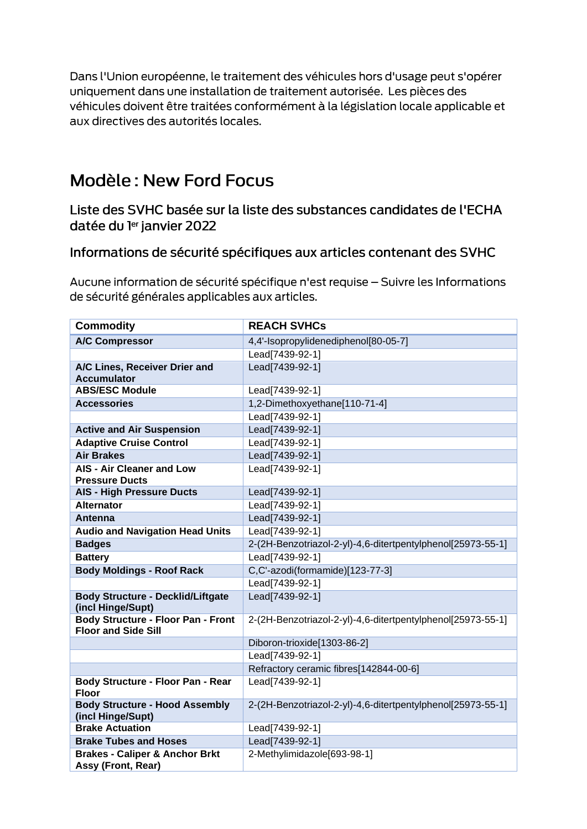Dans l'Union européenne, le traitement des véhicules hors d'usage peut s'opérer uniquement dans une installation de traitement autorisée. Les pièces des véhicules doivent être traitées conformément à la législation locale applicable et aux directives des autorités locales.

## **Modèle: New Ford Focus**

Liste des SVHC basée sur la liste des substances candidates de l'ECHA datée du ler janvier 2022

### Informations de sécurité spécifiques aux articles contenant des SVHC

Aucune information de sécurité spécifique n'est requise - Suivre les Informations de sécurité générales applicables aux articles.

| <b>Commodity</b>                                                        | <b>REACH SVHCs</b>                                          |
|-------------------------------------------------------------------------|-------------------------------------------------------------|
| <b>A/C Compressor</b>                                                   | 4,4'-Isopropylidenediphenol[80-05-7]                        |
|                                                                         | Lead[7439-92-1]                                             |
| A/C Lines, Receiver Drier and<br><b>Accumulator</b>                     | Lead[7439-92-1]                                             |
| <b>ABS/ESC Module</b>                                                   | Lead[7439-92-1]                                             |
| <b>Accessories</b>                                                      | 1,2-Dimethoxyethane[110-71-4]                               |
|                                                                         | Lead[7439-92-1]                                             |
| <b>Active and Air Suspension</b>                                        | Lead[7439-92-1]                                             |
| <b>Adaptive Cruise Control</b>                                          | Lead[7439-92-1]                                             |
| <b>Air Brakes</b>                                                       | Lead[7439-92-1]                                             |
| <b>AIS - Air Cleaner and Low</b><br><b>Pressure Ducts</b>               | Lead[7439-92-1]                                             |
| <b>AIS - High Pressure Ducts</b>                                        | Lead[7439-92-1]                                             |
| <b>Alternator</b>                                                       | Lead[7439-92-1]                                             |
| Antenna                                                                 | Lead[7439-92-1]                                             |
| <b>Audio and Navigation Head Units</b>                                  | Lead[7439-92-1]                                             |
| <b>Badges</b>                                                           | 2-(2H-Benzotriazol-2-yl)-4,6-ditertpentylphenol[25973-55-1] |
| <b>Battery</b>                                                          | Lead[7439-92-1]                                             |
| <b>Body Moldings - Roof Rack</b>                                        | C,C'-azodi(formamide)[123-77-3]                             |
|                                                                         | Lead[7439-92-1]                                             |
| <b>Body Structure - Decklid/Liftgate</b><br>(incl Hinge/Supt)           | Lead[7439-92-1]                                             |
| <b>Body Structure - Floor Pan - Front</b><br><b>Floor and Side Sill</b> | 2-(2H-Benzotriazol-2-yl)-4,6-ditertpentylphenol[25973-55-1] |
|                                                                         | Diboron-trioxide[1303-86-2]                                 |
|                                                                         | Lead[7439-92-1]                                             |
|                                                                         | Refractory ceramic fibres[142844-00-6]                      |
| Body Structure - Floor Pan - Rear<br><b>Floor</b>                       | Lead[7439-92-1]                                             |
| <b>Body Structure - Hood Assembly</b><br>(incl Hinge/Supt)              | 2-(2H-Benzotriazol-2-yl)-4,6-ditertpentylphenol[25973-55-1] |
| <b>Brake Actuation</b>                                                  | Lead[7439-92-1]                                             |
| <b>Brake Tubes and Hoses</b>                                            | Lead[7439-92-1]                                             |
| <b>Brakes - Caliper &amp; Anchor Brkt</b><br>Assy (Front, Rear)         | 2-Methylimidazole[693-98-1]                                 |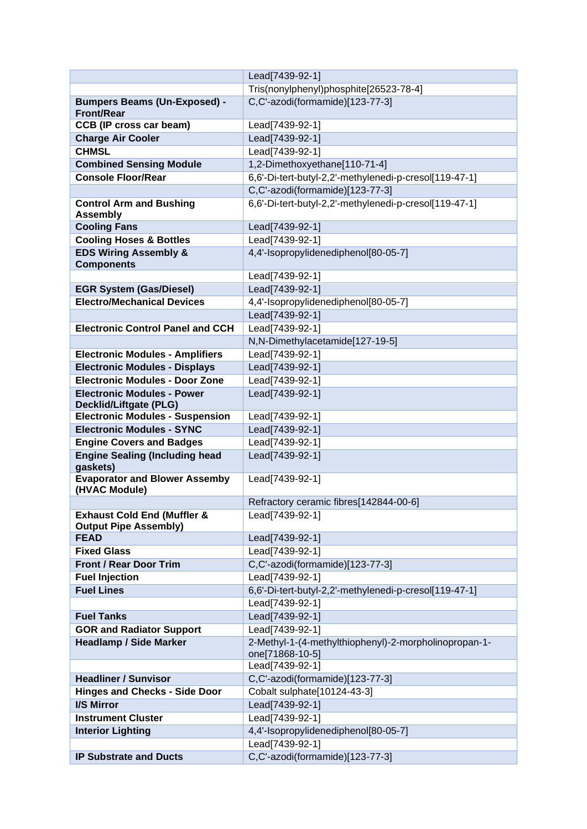|                                                                        | Lead[7439-92-1]                                        |
|------------------------------------------------------------------------|--------------------------------------------------------|
|                                                                        | Tris(nonylphenyl)phosphite[26523-78-4]                 |
| <b>Bumpers Beams (Un-Exposed) -</b><br><b>Front/Rear</b>               | C,C'-azodi(formamide)[123-77-3]                        |
| <b>CCB (IP cross car beam)</b>                                         | Lead[7439-92-1]                                        |
| <b>Charge Air Cooler</b>                                               | Lead[7439-92-1]                                        |
| <b>CHMSL</b>                                                           | Lead[7439-92-1]                                        |
| <b>Combined Sensing Module</b>                                         | 1,2-Dimethoxyethane[110-71-4]                          |
| <b>Console Floor/Rear</b>                                              | 6,6'-Di-tert-butyl-2,2'-methylenedi-p-cresol[119-47-1] |
|                                                                        | C,C'-azodi(formamide)[123-77-3]                        |
| <b>Control Arm and Bushing</b>                                         | 6,6'-Di-tert-butyl-2,2'-methylenedi-p-cresol[119-47-1] |
| <b>Assembly</b>                                                        |                                                        |
| <b>Cooling Fans</b>                                                    | Lead[7439-92-1]                                        |
| <b>Cooling Hoses &amp; Bottles</b>                                     | Lead[7439-92-1]                                        |
| <b>EDS Wiring Assembly &amp;</b>                                       | 4,4'-Isopropylidenediphenol[80-05-7]                   |
| <b>Components</b>                                                      | Lead[7439-92-1]                                        |
| <b>EGR System (Gas/Diesel)</b>                                         | Lead[7439-92-1]                                        |
| <b>Electro/Mechanical Devices</b>                                      | 4,4'-Isopropylidenediphenol[80-05-7]                   |
|                                                                        |                                                        |
| <b>Electronic Control Panel and CCH</b>                                | Lead[7439-92-1]<br>Lead[7439-92-1]                     |
|                                                                        |                                                        |
|                                                                        | N,N-Dimethylacetamide[127-19-5]                        |
| <b>Electronic Modules - Amplifiers</b>                                 | Lead[7439-92-1]                                        |
| <b>Electronic Modules - Displays</b>                                   | Lead[7439-92-1]                                        |
| <b>Electronic Modules - Door Zone</b>                                  | Lead[7439-92-1]                                        |
| <b>Electronic Modules - Power</b><br><b>Decklid/Liftgate (PLG)</b>     | Lead[7439-92-1]                                        |
| <b>Electronic Modules - Suspension</b>                                 | Lead[7439-92-1]                                        |
| <b>Electronic Modules - SYNC</b>                                       | Lead[7439-92-1]                                        |
| <b>Engine Covers and Badges</b>                                        | Lead[7439-92-1]                                        |
| <b>Engine Sealing (Including head</b><br>gaskets)                      | Lead[7439-92-1]                                        |
| <b>Evaporator and Blower Assemby</b><br>(HVAC Module)                  | Lead[7439-92-1]                                        |
|                                                                        | Refractory ceramic fibres[142844-00-6]                 |
| <b>Exhaust Cold End (Muffler &amp;</b><br><b>Output Pipe Assembly)</b> | Lead[7439-92-1]                                        |
| <b>FEAD</b>                                                            | Lead[7439-92-1]                                        |
| <b>Fixed Glass</b>                                                     | Lead[7439-92-1]                                        |
| <b>Front / Rear Door Trim</b>                                          | C,C'-azodi(formamide)[123-77-3]                        |
| <b>Fuel Injection</b>                                                  | Lead[7439-92-1]                                        |
| <b>Fuel Lines</b>                                                      | 6,6'-Di-tert-butyl-2,2'-methylenedi-p-cresol[119-47-1] |
|                                                                        | Lead[7439-92-1]                                        |
| <b>Fuel Tanks</b>                                                      | Lead[7439-92-1]                                        |
| <b>GOR and Radiator Support</b>                                        | Lead[7439-92-1]                                        |
| <b>Headlamp / Side Marker</b>                                          | 2-Methyl-1-(4-methylthiophenyl)-2-morpholinopropan-1-  |
|                                                                        | one[71868-10-5]                                        |
|                                                                        | Lead[7439-92-1]                                        |
| <b>Headliner / Sunvisor</b>                                            | C,C'-azodi(formamide)[123-77-3]                        |
| <b>Hinges and Checks - Side Door</b>                                   | Cobalt sulphate[10124-43-3]                            |
| <b>I/S Mirror</b>                                                      | Lead[7439-92-1]                                        |
| <b>Instrument Cluster</b>                                              | Lead[7439-92-1]                                        |
| <b>Interior Lighting</b>                                               | 4,4'-Isopropylidenediphenol[80-05-7]                   |
|                                                                        | Lead[7439-92-1]                                        |
| <b>IP Substrate and Ducts</b>                                          | C,C'-azodi(formamide)[123-77-3]                        |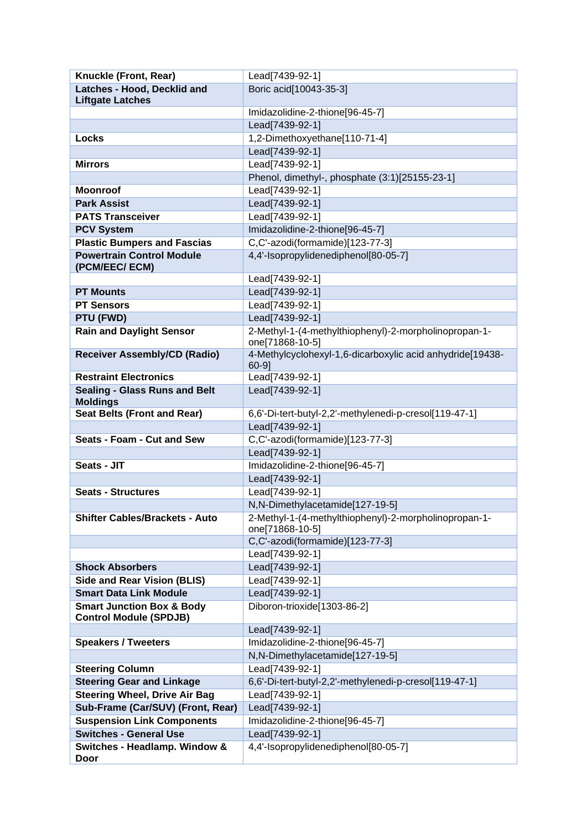| Knuckle (Front, Rear)                                                 | Lead[7439-92-1]                                                          |
|-----------------------------------------------------------------------|--------------------------------------------------------------------------|
| Latches - Hood, Decklid and                                           | Boric acid[10043-35-3]                                                   |
| <b>Liftgate Latches</b>                                               |                                                                          |
|                                                                       | Imidazolidine-2-thione[96-45-7]                                          |
|                                                                       | Lead[7439-92-1]                                                          |
| Locks                                                                 | 1,2-Dimethoxyethane[110-71-4]                                            |
|                                                                       | Lead[7439-92-1]                                                          |
| <b>Mirrors</b>                                                        | Lead[7439-92-1]                                                          |
|                                                                       | Phenol, dimethyl-, phosphate (3:1)[25155-23-1]                           |
| <b>Moonroof</b>                                                       | Lead[7439-92-1]                                                          |
| <b>Park Assist</b>                                                    | Lead[7439-92-1]                                                          |
| <b>PATS Transceiver</b>                                               | Lead[7439-92-1]                                                          |
| <b>PCV System</b>                                                     | Imidazolidine-2-thione[96-45-7]                                          |
| <b>Plastic Bumpers and Fascias</b>                                    | C,C'-azodi(formamide)[123-77-3]                                          |
| <b>Powertrain Control Module</b><br>(PCM/EEC/ ECM)                    | 4,4'-Isopropylidenediphenol[80-05-7]                                     |
|                                                                       | Lead[7439-92-1]                                                          |
| <b>PT Mounts</b>                                                      | Lead[7439-92-1]                                                          |
| <b>PT Sensors</b>                                                     | Lead[7439-92-1]                                                          |
| PTU (FWD)                                                             | Lead[7439-92-1]                                                          |
| <b>Rain and Daylight Sensor</b>                                       | 2-Methyl-1-(4-methylthiophenyl)-2-morpholinopropan-1-<br>one[71868-10-5] |
| <b>Receiver Assembly/CD (Radio)</b>                                   | 4-Methylcyclohexyl-1,6-dicarboxylic acid anhydride[19438-<br>$60-9$ ]    |
| <b>Restraint Electronics</b>                                          | Lead[7439-92-1]                                                          |
| <b>Sealing - Glass Runs and Belt</b><br><b>Moldings</b>               | Lead[7439-92-1]                                                          |
| <b>Seat Belts (Front and Rear)</b>                                    | 6,6'-Di-tert-butyl-2,2'-methylenedi-p-cresol[119-47-1]                   |
|                                                                       | Lead[7439-92-1]                                                          |
| Seats - Foam - Cut and Sew                                            | C,C'-azodi(formamide)[123-77-3]                                          |
|                                                                       | Lead[7439-92-1]                                                          |
| Seats - JIT                                                           | Imidazolidine-2-thione[96-45-7]                                          |
|                                                                       | Lead[7439-92-1]                                                          |
| <b>Seats - Structures</b>                                             | Lead[7439-92-1]                                                          |
|                                                                       | N,N-Dimethylacetamide[127-19-5]                                          |
| <b>Shifter Cables/Brackets - Auto</b>                                 | 2-Methyl-1-(4-methylthiophenyl)-2-morpholinopropan-1-<br>one[71868-10-5] |
|                                                                       | C,C'-azodi(formamide)[123-77-3]                                          |
|                                                                       | Lead[7439-92-1]                                                          |
| <b>Shock Absorbers</b>                                                | Lead[7439-92-1]                                                          |
| <b>Side and Rear Vision (BLIS)</b>                                    | Lead[7439-92-1]                                                          |
| <b>Smart Data Link Module</b>                                         | Lead[7439-92-1]                                                          |
| <b>Smart Junction Box &amp; Body</b><br><b>Control Module (SPDJB)</b> | Diboron-trioxide[1303-86-2]                                              |
|                                                                       | Lead[7439-92-1]                                                          |
| <b>Speakers / Tweeters</b>                                            | Imidazolidine-2-thione[96-45-7]                                          |
|                                                                       | N,N-Dimethylacetamide[127-19-5]                                          |
| <b>Steering Column</b>                                                | Lead[7439-92-1]                                                          |
| <b>Steering Gear and Linkage</b>                                      | 6,6'-Di-tert-butyl-2,2'-methylenedi-p-cresol[119-47-1]                   |
| <b>Steering Wheel, Drive Air Bag</b>                                  | Lead[7439-92-1]                                                          |
| Sub-Frame (Car/SUV) (Front, Rear)                                     | Lead[7439-92-1]                                                          |
| <b>Suspension Link Components</b><br><b>Switches - General Use</b>    | Imidazolidine-2-thione[96-45-7]                                          |
|                                                                       | Lead[7439-92-1]                                                          |
| Switches - Headlamp. Window &<br>Door                                 | 4,4'-Isopropylidenediphenol[80-05-7]                                     |